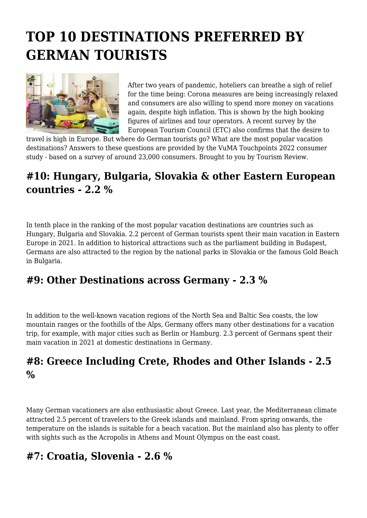# **TOP 10 DESTINATIONS PREFERRED BY GERMAN TOURISTS**



After two years of pandemic, hoteliers can breathe a sigh of relief for the time being: Corona measures are being increasingly relaxed and consumers are also willing to spend more money on vacations again, despite high inflation. This is shown by the high booking figures of airlines and tour operators. A recent survey by the European Tourism Council (ETC) also confirms that the desire to

travel is high in Europe. But where do German tourists go? What are the most popular vacation destinations? Answers to these questions are provided by the VuMA Touchpoints 2022 consumer study - based on a survey of around 23,000 consumers. Brought to you by Tourism Review.

# **#10: Hungary, Bulgaria, Slovakia & other Eastern European countries - 2.2 %**

In tenth place in the ranking of the most popular vacation destinations are countries such as Hungary, Bulgaria and Slovakia. 2.2 percent of German tourists spent their main vacation in Eastern Europe in 2021. In addition to historical attractions such as the parliament building in Budapest, Germans are also attracted to the region by the national parks in Slovakia or the famous Gold Beach in Bulgaria.

# **#9: Other Destinations across Germany - 2.3 %**

In addition to the well-known vacation regions of the North Sea and Baltic Sea coasts, the low mountain ranges or the foothills of the Alps, Germany offers many other destinations for a vacation trip, for example, with major cities such as Berlin or Hamburg. 2.3 percent of Germans spent their main vacation in 2021 at domestic destinations in Germany.

# **#8: Greece Including Crete, Rhodes and Other Islands - 2.5 %**

Many German vacationers are also enthusiastic about Greece. Last year, the Mediterranean climate attracted 2.5 percent of travelers to the Greek islands and mainland. From spring onwards, the temperature on the islands is suitable for a beach vacation. But the mainland also has plenty to offer with sights such as the Acropolis in Athens and Mount Olympus on the east coast.

# **#7: Croatia, Slovenia - 2.6 %**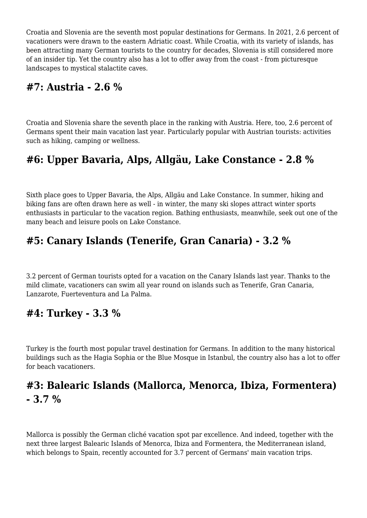Croatia and Slovenia are the seventh most popular destinations for Germans. In 2021, 2.6 percent of vacationers were drawn to the eastern Adriatic coast. While Croatia, with its variety of islands, has been attracting many German tourists to the country for decades, Slovenia is still considered more of an insider tip. Yet the country also has a lot to offer away from the coast - from picturesque landscapes to mystical stalactite caves.

#### **#7: Austria - 2.6 %**

Croatia and Slovenia share the seventh place in the ranking with Austria. Here, too, 2.6 percent of Germans spent their main vacation last year. Particularly popular with Austrian tourists: activities such as hiking, camping or wellness.

# **#6: Upper Bavaria, Alps, Allgäu, Lake Constance - 2.8 %**

Sixth place goes to Upper Bavaria, the Alps, Allgäu and Lake Constance. In summer, hiking and biking fans are often drawn here as well - in winter, the many ski slopes attract winter sports enthusiasts in particular to the vacation region. Bathing enthusiasts, meanwhile, seek out one of the many beach and leisure pools on Lake Constance.

# **#5: Canary Islands (Tenerife, Gran Canaria) - 3.2 %**

3.2 percent of German tourists opted for a vacation on the Canary Islands last year. Thanks to the mild climate, vacationers can swim all year round on islands such as Tenerife, Gran Canaria, Lanzarote, Fuerteventura and La Palma.

#### **#4: Turkey - 3.3 %**

Turkey is the fourth most popular travel destination for Germans. In addition to the many historical buildings such as the Hagia Sophia or the Blue Mosque in Istanbul, the country also has a lot to offer for beach vacationers.

# **#3: Balearic Islands (Mallorca, Menorca, Ibiza, Formentera) - 3.7 %**

Mallorca is possibly the German cliché vacation spot par excellence. And indeed, together with the next three largest Balearic Islands of Menorca, Ibiza and Formentera, the Mediterranean island, which belongs to Spain, recently accounted for 3.7 percent of Germans' main vacation trips.